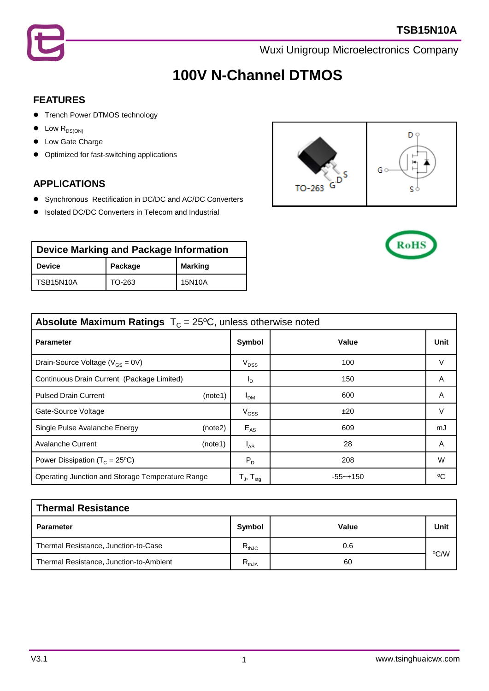



# **100V N-Channel DTMOS**

### **FEATURES**

- **•** Trench Power DTMOS technology
- $\bullet$  Low  $R_{DS(ON)}$
- **•** Low Gate Charge
- Optimized for fast-switching applications

### **APPLICATIONS**

- Synchronous Rectification in DC/DC and AC/DC Converters
- Isolated DC/DC Converters in Telecom and Industrial





| <b>Device Marking and Package Information</b> |                           |        |  |  |  |
|-----------------------------------------------|---------------------------|--------|--|--|--|
| <b>Device</b>                                 | <b>Marking</b><br>Package |        |  |  |  |
| TSB15N10A                                     | TO-263                    | 15N10A |  |  |  |

| <b>Absolute Maximum Ratings</b> $T_c = 25^{\circ}C$ , unless otherwise noted |                                                       |              |      |  |  |  |
|------------------------------------------------------------------------------|-------------------------------------------------------|--------------|------|--|--|--|
| <b>Parameter</b>                                                             |                                                       | Value        | Unit |  |  |  |
| Drain-Source Voltage ( $V_{GS}$ = 0V)                                        | $V_{DSS}$                                             | 100          | V    |  |  |  |
| Continuous Drain Current (Package Limited)                                   | <sup>I</sup> D                                        | 150          | A    |  |  |  |
| <b>Pulsed Drain Current</b><br>(note1)                                       | I <sub>DM</sub>                                       | 600          | A    |  |  |  |
| Gate-Source Voltage                                                          | $V_{GSS}$                                             | ±20          | V    |  |  |  |
| Single Pulse Avalanche Energy<br>(note2)                                     | $E_{AS}$                                              | 609          | mJ   |  |  |  |
| <b>Avalanche Current</b><br>(note1)                                          | $I_{AS}$                                              | 28           | A    |  |  |  |
| Power Dissipation ( $T_c = 25^{\circ}C$ )                                    | $P_D$                                                 | 208          | W    |  |  |  |
| Operating Junction and Storage Temperature Range                             | $\mathsf{T}_{\mathsf{J}},\,\mathsf{T}_{\mathsf{stg}}$ | $-55 - +150$ | °C   |  |  |  |

| <b>Thermal Resistance</b>               |            |       |      |  |  |
|-----------------------------------------|------------|-------|------|--|--|
| <b>Parameter</b>                        | Symbol     | Value | Unit |  |  |
| Thermal Resistance, Junction-to-Case    | $R_{thJC}$ | 0.6   |      |  |  |
| Thermal Resistance, Junction-to-Ambient | $R_{thJA}$ | 60    | °C/W |  |  |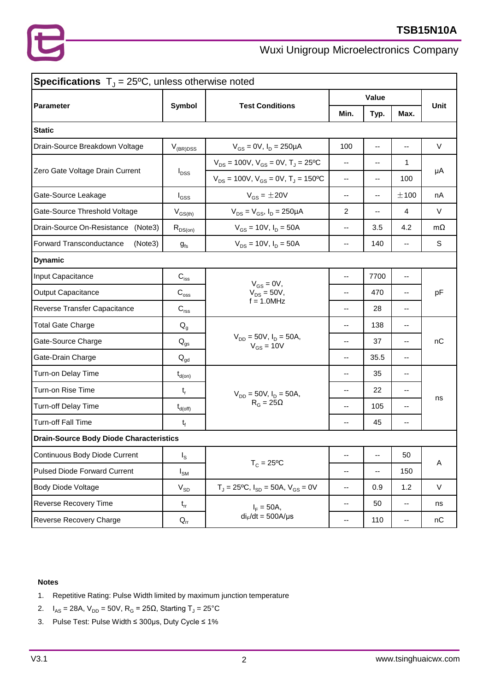| <b>Specifications</b> $T_{J} = 25^{\circ}\text{C}$ , unless otherwise noted |                                                |                                                        |                          |      |                          |             |  |  |  |
|-----------------------------------------------------------------------------|------------------------------------------------|--------------------------------------------------------|--------------------------|------|--------------------------|-------------|--|--|--|
|                                                                             |                                                |                                                        | Value                    |      |                          |             |  |  |  |
| Parameter                                                                   | <b>Symbol</b>                                  | <b>Test Conditions</b>                                 | Min.                     | Typ. | Max.                     | <b>Unit</b> |  |  |  |
| <b>Static</b>                                                               |                                                |                                                        |                          |      |                          |             |  |  |  |
| Drain-Source Breakdown Voltage                                              | $V_{(BR)DSS}$                                  | $V_{GS} = 0V$ , $I_D = 250 \mu A$                      | 100                      | --   | $\overline{\phantom{a}}$ | $\vee$      |  |  |  |
| Zero Gate Voltage Drain Current                                             | $I_{DSS}$                                      | $V_{DS}$ = 100V, $V_{GS}$ = 0V, T <sub>J</sub> = 25°C  | --                       | --   | 1                        | μA          |  |  |  |
|                                                                             |                                                | $V_{DS}$ = 100V, $V_{GS}$ = 0V, T <sub>J</sub> = 150°C | $\overline{\phantom{a}}$ | --   | 100                      |             |  |  |  |
| Gate-Source Leakage                                                         | $I_{GSS}$                                      | $V_{GS} = \pm 20V$                                     | $\overline{\phantom{a}}$ | --   | ±100                     | nA          |  |  |  |
| Gate-Source Threshold Voltage                                               | $V_{GS(th)}$                                   | $V_{DS} = V_{GS}$ , $I_D = 250 \mu A$                  | $\overline{c}$           | --   | 4                        | V           |  |  |  |
| Drain-Source On-Resistance (Note3)                                          | $R_{DS(on)}$                                   | $V_{GS}$ = 10V, $I_D$ = 50A                            | $\overline{\phantom{a}}$ | 3.5  | 4.2                      | $m\Omega$   |  |  |  |
| Forward Transconductance<br>(Note3)                                         | $g_{fs}$                                       | $V_{DS}$ = 10V, $I_D$ = 50A                            | $\overline{\phantom{a}}$ | 140  | $\overline{\phantom{a}}$ | $\mathbb S$ |  |  |  |
| <b>Dynamic</b>                                                              |                                                |                                                        |                          |      |                          |             |  |  |  |
| Input Capacitance                                                           | $C_{\text{iss}}$                               |                                                        | $\overline{\phantom{a}}$ | 7700 | $\overline{\phantom{a}}$ | pF          |  |  |  |
| <b>Output Capacitance</b>                                                   | $C_{\rm oss}$                                  | $V_{GS} = 0V$ ,<br>$V_{DS} = 50V$ ,                    | --                       | 470  | --                       |             |  |  |  |
| Reverse Transfer Capacitance                                                | $C_{\text{rss}}$                               | $f = 1.0$ MHz                                          | --                       | 28   | --                       |             |  |  |  |
| <b>Total Gate Charge</b>                                                    | $Q_q$                                          |                                                        | --                       | 138  | --                       | nC          |  |  |  |
| Gate-Source Charge                                                          | $\mathsf{Q}_{\mathsf{gs}}$                     | $V_{DD} = 50V$ , $I_D = 50A$ ,<br>$V_{GS}$ = 10V       | $\overline{\phantom{a}}$ | 37   | $\overline{\phantom{a}}$ |             |  |  |  |
| Gate-Drain Charge                                                           | $\mathsf{Q}_{\mathsf{gd}}$                     |                                                        | $\overline{\phantom{a}}$ | 35.5 | --                       |             |  |  |  |
| Turn-on Delay Time                                                          | $t_{d(on)}$                                    |                                                        | --                       | 35   | --                       | ns          |  |  |  |
| Turn-on Rise Time                                                           | $t_r$                                          | $V_{DD} = 50V, I_D = 50A,$                             | --                       | 22   | --                       |             |  |  |  |
| Turn-off Delay Time                                                         | $t_{d(\text{off})}$                            | $R_G = 25\Omega$                                       | $-$                      | 105  | --                       |             |  |  |  |
| Turn-off Fall Time                                                          | t <sub>f</sub>                                 |                                                        | --                       | 45   | $\overline{\phantom{a}}$ |             |  |  |  |
|                                                                             | <b>Drain-Source Body Diode Characteristics</b> |                                                        |                          |      |                          |             |  |  |  |
| Continuous Body Diode Current                                               | $I_{\rm S}$                                    |                                                        | --                       | --   | 50                       | Α           |  |  |  |
| <b>Pulsed Diode Forward Current</b>                                         | $I_{\text{SM}}$                                | $T_c = 25$ °C                                          | $\overline{\phantom{a}}$ | --   | 150                      |             |  |  |  |
| Body Diode Voltage                                                          | $V_{SD}$                                       | $T_J = 25$ °C, $I_{SD} = 50A$ , $V_{GS} = 0V$          | --                       | 0.9  | 1.2                      | V           |  |  |  |
| Reverse Recovery Time                                                       | $t_{rr}$                                       | $I_F = 50A,$                                           | $\overline{\phantom{a}}$ | 50   | $\overline{\phantom{a}}$ | ns          |  |  |  |
| Reverse Recovery Charge                                                     | $\mathsf{Q}_{\mathsf{rr}}$                     | $di_F/dt = 500A/\mu s$                                 | $\overline{\phantom{a}}$ | 110  | $\overline{\phantom{a}}$ | nC          |  |  |  |

### **Notes**

- 1. Repetitive Rating: Pulse Width limited by maximum junction temperature
- 2.  $I_{AS} = 28A$ ,  $V_{DD} = 50V$ ,  $R_G = 25Ω$ , Starting  $T_J = 25°C$
- 3. Pulse Test: Pulse Width ≤ 300μs, Duty Cycle ≤ 1%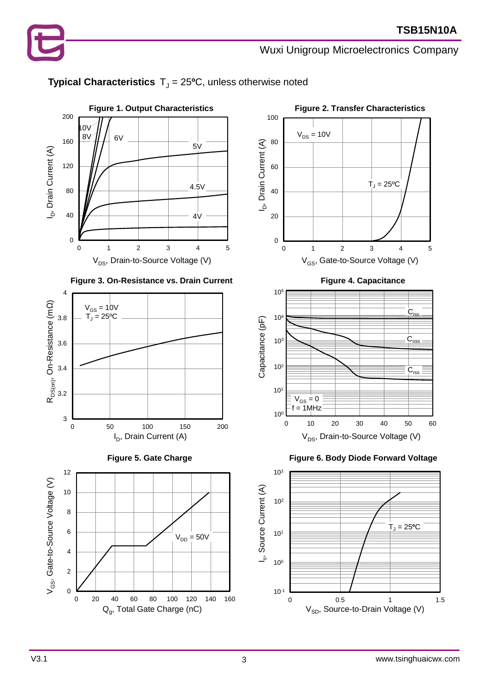## **Typical Characteristics**  $T_J = 25$ <sup>o</sup>C, unless otherwise noted













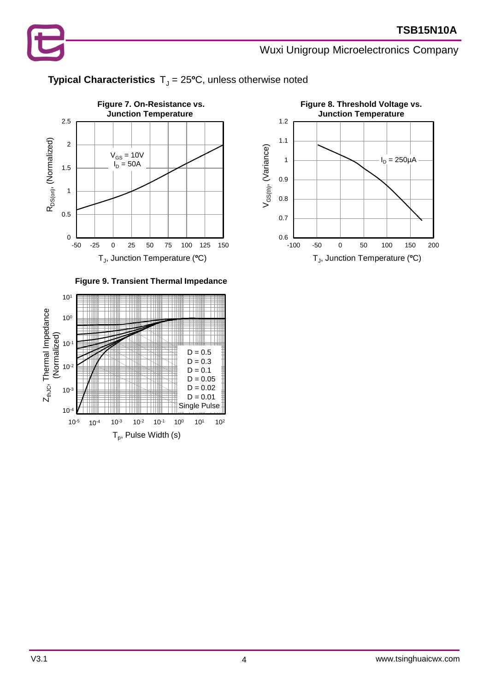### **Typical Characteristics**  $T_J = 25$ <sup>o</sup>C, unless otherwise noted



**Figure 9. Transient Thermal Impedance**



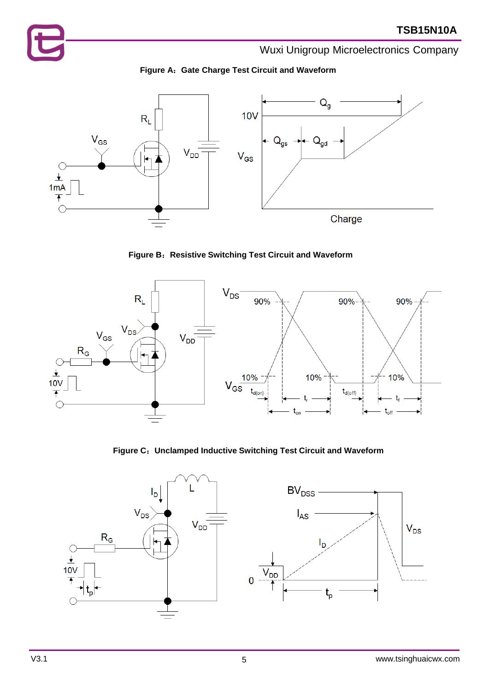



**Figure B**:**Resistive Switching Test Circuit and Waveform**



**Figure C**:**Unclamped Inductive Switching Test Circuit and Waveform**

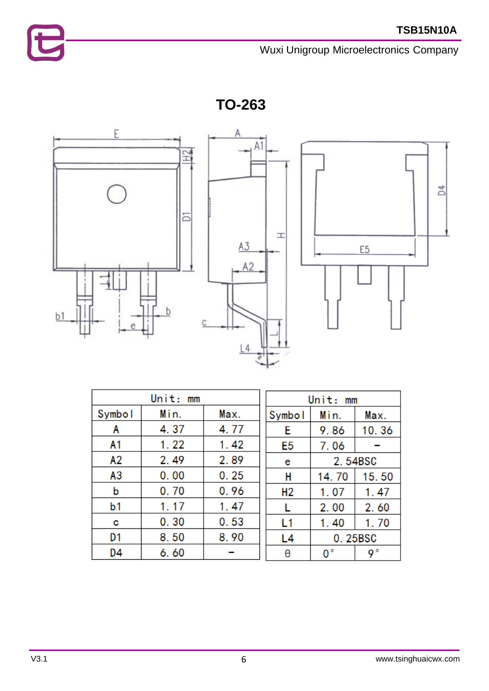**TO-263**



|        | Unit:<br>mm |      |                | Unit:<br>mm |       |  |
|--------|-------------|------|----------------|-------------|-------|--|
| Symbol | Min.        | Max. | Symbol         | Min.        | Max.  |  |
| A      | 4.37        | 4.77 | Е              | 9.86        | 10.36 |  |
| A1     | 1.22        | 1.42 | E <sub>5</sub> | 7.06        |       |  |
| A2     | 2.49        | 2.89 | е              | 2.54BSC     |       |  |
| A3     | 0.00        | 0.25 | H              | 14.70       | 15.50 |  |
| b      | 0.70        | 0.96 | <b>H2</b>      | 1.07        | 1.47  |  |
| b1     | 1.17        | 1.47 |                | 2.00        | 2.60  |  |
| С      | 0.30        | 0.53 | L1             | 1.40        | 1.70  |  |
| D1     | 8.50        | 8.90 | L4             | 0.25BSC     |       |  |
| D4     | 6.60        |      | θ              | 0°          | ۹°    |  |

 $\mathbf{E}$